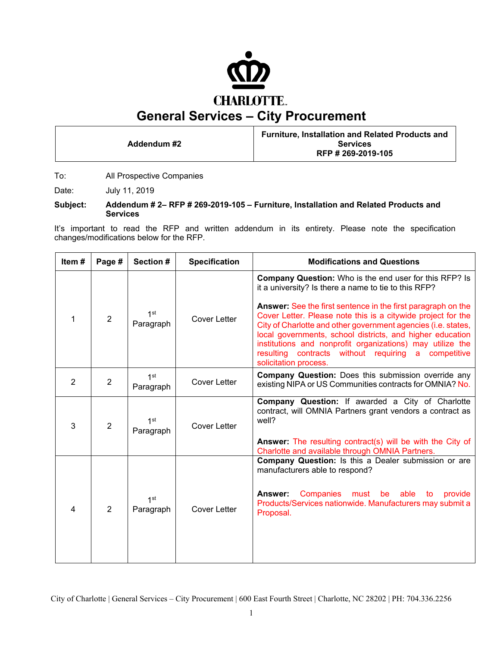

**Addendum #2** 

**Furniture, Installation and Related Products and Services RFP # 269-2019-105** 

To: All Prospective Companies

Date: July 11, 2019

#### **Subject: Addendum # 2– RFP # 269-2019-105 – Furniture, Installation and Related Products and Services**

It's important to read the RFP and written addendum in its entirety. Please note the specification changes/modifications below for the RFP.

| Item#          | Page #         | Section #                    | <b>Specification</b> | <b>Modifications and Questions</b>                                                                                                                                                                                                                                                                                                                                                                                                                                                                                                                 |  |  |  |  |  |  |  |  |  |
|----------------|----------------|------------------------------|----------------------|----------------------------------------------------------------------------------------------------------------------------------------------------------------------------------------------------------------------------------------------------------------------------------------------------------------------------------------------------------------------------------------------------------------------------------------------------------------------------------------------------------------------------------------------------|--|--|--|--|--|--|--|--|--|
| $\mathbf{1}$   | $\overline{2}$ | $1$ st<br>Paragraph          | <b>Cover Letter</b>  | <b>Company Question:</b> Who is the end user for this RFP? Is<br>it a university? Is there a name to tie to this RFP?<br><b>Answer:</b> See the first sentence in the first paragraph on the<br>Cover Letter. Please note this is a citywide project for the<br>City of Charlotte and other government agencies (i.e. states,<br>local governments, school districts, and higher education<br>institutions and nonprofit organizations) may utilize the<br>contracts without requiring<br>resulting<br>competitive<br>a l<br>solicitation process. |  |  |  |  |  |  |  |  |  |
| $\overline{2}$ | $\overline{2}$ | 1 <sup>st</sup><br>Paragraph | <b>Cover Letter</b>  | <b>Company Question:</b> Does this submission override any<br>existing NIPA or US Communities contracts for OMNIA? No.                                                                                                                                                                                                                                                                                                                                                                                                                             |  |  |  |  |  |  |  |  |  |
| 3              | $\overline{2}$ | 1 <sup>st</sup><br>Paragraph | <b>Cover Letter</b>  | Company Question: If awarded a City of Charlotte<br>contract, will OMNIA Partners grant vendors a contract as<br>well?<br>Answer: The resulting contract(s) will be with the City of<br>Charlotte and available through OMNIA Partners.                                                                                                                                                                                                                                                                                                            |  |  |  |  |  |  |  |  |  |
| $\overline{4}$ | $\overline{2}$ | 1 <sup>st</sup><br>Paragraph | <b>Cover Letter</b>  | Company Question: Is this a Dealer submission or are<br>manufacturers able to respond?<br>Answer:<br>Companies must be able to<br>provide<br>Products/Services nationwide. Manufacturers may submit a<br>Proposal.                                                                                                                                                                                                                                                                                                                                 |  |  |  |  |  |  |  |  |  |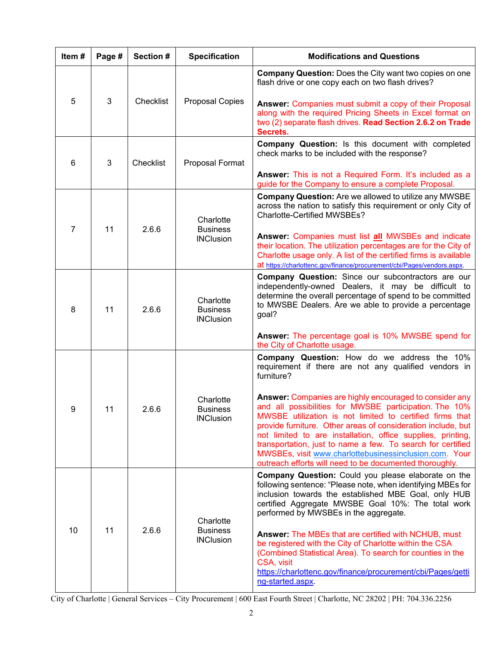| Item# | Page # | Section # | <b>Specification</b>                             | <b>Modifications and Questions</b>                                                                                                                                                                                                                                                                                                                                                                                                                                                               |  |  |  |  |  |  |  |
|-------|--------|-----------|--------------------------------------------------|--------------------------------------------------------------------------------------------------------------------------------------------------------------------------------------------------------------------------------------------------------------------------------------------------------------------------------------------------------------------------------------------------------------------------------------------------------------------------------------------------|--|--|--|--|--|--|--|
|       |        |           |                                                  | <b>Company Question:</b> Does the City want two copies on one<br>flash drive or one copy each on two flash drives?                                                                                                                                                                                                                                                                                                                                                                               |  |  |  |  |  |  |  |
| 5     | 3      | Checklist | <b>Proposal Copies</b>                           | Answer: Companies must submit a copy of their Proposal<br>along with the required Pricing Sheets in Excel format on<br>two (2) separate flash drives. Read Section 2.6.2 on Trade<br>Secrets.                                                                                                                                                                                                                                                                                                    |  |  |  |  |  |  |  |
| 6     | 3      | Checklist | Proposal Format                                  | Company Question: Is this document with completed<br>check marks to be included with the response?<br>Answer: This is not a Required Form. It's included as a                                                                                                                                                                                                                                                                                                                                    |  |  |  |  |  |  |  |
|       |        |           |                                                  | guide for the Company to ensure a complete Proposal.                                                                                                                                                                                                                                                                                                                                                                                                                                             |  |  |  |  |  |  |  |
| 7     | 11     | 2.6.6     | Charlotte<br><b>Business</b>                     | Company Question: Are we allowed to utilize any MWSBE<br>across the nation to satisfy this requirement or only City of<br><b>Charlotte-Certified MWSBEs?</b>                                                                                                                                                                                                                                                                                                                                     |  |  |  |  |  |  |  |
|       |        |           | <b>INClusion</b>                                 | Answer: Companies must list all MWSBEs and indicate<br>their location. The utilization percentages are for the City of<br>Charlotte usage only. A list of the certified firms is available<br>at https://charlottenc.gov/finance/procurement/cbi/Pages/vendors.aspx.                                                                                                                                                                                                                             |  |  |  |  |  |  |  |
| 8     | 11     | 2.6.6     | Charlotte<br><b>Business</b><br><b>INClusion</b> | <b>Company Question:</b> Since our subcontractors are our<br>independently-owned Dealers, it may be difficult to<br>determine the overall percentage of spend to be committed<br>to MWSBE Dealers. Are we able to provide a percentage<br>goal?                                                                                                                                                                                                                                                  |  |  |  |  |  |  |  |
|       |        |           |                                                  | Answer: The percentage goal is 10% MWSBE spend for<br>the City of Charlotte usage.                                                                                                                                                                                                                                                                                                                                                                                                               |  |  |  |  |  |  |  |
|       |        |           |                                                  | Company Question: How do we address the 10%<br>requirement if there are not any qualified vendors in<br>furniture?                                                                                                                                                                                                                                                                                                                                                                               |  |  |  |  |  |  |  |
| 9     | 11     | 2.6.6     | Charlotte<br><b>Business</b><br><b>INClusion</b> | Answer: Companies are highly encouraged to consider any<br>and all possibilities for MWSBE participation. The 10%<br>MWSBE utilization is not limited to certified firms that<br>provide furniture. Other areas of consideration include, but<br>not limited to are installation, office supplies, printing,<br>transportation, just to name a few. To search for certified<br>MWSBEs, visit www.charlottebusinessinclusion.com. Your<br>outreach efforts will need to be documented thoroughly. |  |  |  |  |  |  |  |
|       |        |           | Charlotte                                        | Company Question: Could you please elaborate on the<br>following sentence: "Please note, when identifying MBEs for<br>inclusion towards the established MBE Goal, only HUB<br>certified Aggregate MWSBE Goal 10%: The total work<br>performed by MWSBEs in the aggregate.                                                                                                                                                                                                                        |  |  |  |  |  |  |  |
| 10    | 11     | 2.6.6     | <b>Business</b><br><b>INClusion</b>              | Answer: The MBEs that are certified with NCHUB, must<br>be registered with the City of Charlotte within the CSA<br>(Combined Statistical Area). To search for counties in the<br>CSA, visit<br>https://charlottenc.gov/finance/procurement/cbi/Pages/getti<br>ng-started.aspx.                                                                                                                                                                                                                   |  |  |  |  |  |  |  |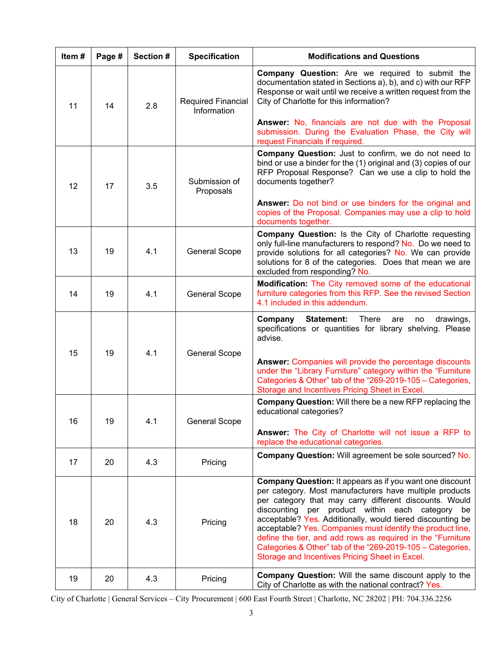| Item# | Page # | Section # | <b>Specification</b>              | <b>Modifications and Questions</b>                                                                                                                                                                                                                                                                                                                                                                                                                                                                                                           |  |  |  |  |  |  |  |  |
|-------|--------|-----------|-----------------------------------|----------------------------------------------------------------------------------------------------------------------------------------------------------------------------------------------------------------------------------------------------------------------------------------------------------------------------------------------------------------------------------------------------------------------------------------------------------------------------------------------------------------------------------------------|--|--|--|--|--|--|--|--|
| 11    | 14     | 2.8       | Required Financial<br>Information | <b>Company Question:</b> Are we required to submit the<br>documentation stated in Sections a), b), and c) with our RFP<br>Response or wait until we receive a written request from the<br>City of Charlotte for this information?                                                                                                                                                                                                                                                                                                            |  |  |  |  |  |  |  |  |
|       |        |           |                                   | Answer: No, financials are not due with the Proposal<br>submission. During the Evaluation Phase, the City will<br>request Financials if required.                                                                                                                                                                                                                                                                                                                                                                                            |  |  |  |  |  |  |  |  |
| 12    | 17     | 3.5       | Submission of<br>Proposals        | Company Question: Just to confirm, we do not need to<br>bind or use a binder for the (1) original and (3) copies of our<br>RFP Proposal Response? Can we use a clip to hold the<br>documents together?                                                                                                                                                                                                                                                                                                                                       |  |  |  |  |  |  |  |  |
|       |        |           |                                   | Answer: Do not bind or use binders for the original and<br>copies of the Proposal. Companies may use a clip to hold<br>documents together.                                                                                                                                                                                                                                                                                                                                                                                                   |  |  |  |  |  |  |  |  |
| 13    | 19     | 4.1       | <b>General Scope</b>              | Company Question: Is the City of Charlotte requesting<br>only full-line manufacturers to respond? No. Do we need to<br>provide solutions for all categories? No. We can provide<br>solutions for 8 of the categories. Does that mean we are<br>excluded from responding? No.                                                                                                                                                                                                                                                                 |  |  |  |  |  |  |  |  |
| 14    | 19     | 4.1       | <b>General Scope</b>              | Modification: The City removed some of the educational<br>furniture categories from this RFP. See the revised Section<br>4.1 included in this addendum.                                                                                                                                                                                                                                                                                                                                                                                      |  |  |  |  |  |  |  |  |
|       |        |           |                                   | Company<br>Statement:<br>There<br>drawings,<br>are<br>no<br>specifications or quantities for library shelving. Please<br>advise.                                                                                                                                                                                                                                                                                                                                                                                                             |  |  |  |  |  |  |  |  |
| 15    | 19     | 4.1       | <b>General Scope</b>              | Answer: Companies will provide the percentage discounts<br>under the "Library Furniture" category within the "Furniture<br>Categories & Other" tab of the "269-2019-105 - Categories,<br>Storage and Incentives Pricing Sheet in Excel.                                                                                                                                                                                                                                                                                                      |  |  |  |  |  |  |  |  |
| 16    | 19     | 4.1       | <b>General Scope</b>              | <b>Company Question:</b> Will there be a new RFP replacing the<br>educational categories?                                                                                                                                                                                                                                                                                                                                                                                                                                                    |  |  |  |  |  |  |  |  |
|       |        |           |                                   | Answer: The City of Charlotte will not issue a RFP to<br>replace the educational categories.                                                                                                                                                                                                                                                                                                                                                                                                                                                 |  |  |  |  |  |  |  |  |
| 17    | 20     | 4.3       | Pricing                           | <b>Company Question: Will agreement be sole sourced? No.</b>                                                                                                                                                                                                                                                                                                                                                                                                                                                                                 |  |  |  |  |  |  |  |  |
| 18    | 20     | 4.3       | Pricing                           | Company Question: It appears as if you want one discount<br>per category. Most manufacturers have multiple products<br>per category that may carry different discounts. Would<br>discounting per product within each category be<br>acceptable? Yes. Additionally, would tiered discounting be<br>acceptable? Yes. Companies must identify the product line,<br>define the tier, and add rows as required in the "Furniture"<br>Categories & Other" tab of the "269-2019-105 - Categories,<br>Storage and Incentives Pricing Sheet in Excel. |  |  |  |  |  |  |  |  |
| 19    | 20     | 4.3       | Pricing                           | Company Question: Will the same discount apply to the<br>City of Charlotte as with the national contract? Yes.                                                                                                                                                                                                                                                                                                                                                                                                                               |  |  |  |  |  |  |  |  |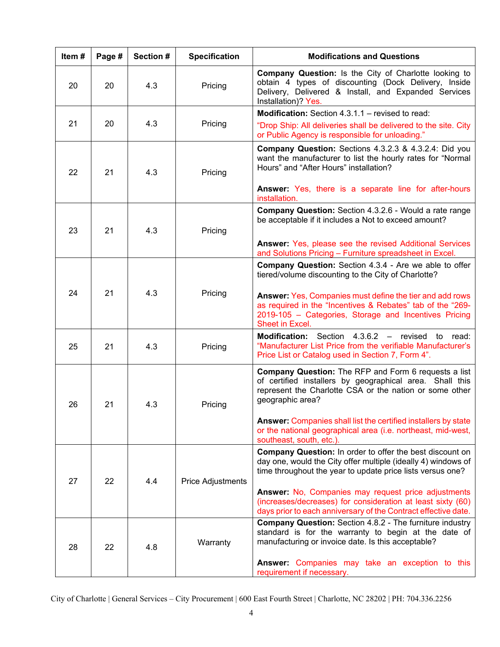| Item# | Page #    | Section # | <b>Specification</b> | <b>Modifications and Questions</b>                                                                                                                                                                                                             |  |  |  |  |  |  |  |  |
|-------|-----------|-----------|----------------------|------------------------------------------------------------------------------------------------------------------------------------------------------------------------------------------------------------------------------------------------|--|--|--|--|--|--|--|--|
| 20    | 20        | 4.3       | Pricing              | <b>Company Question:</b> Is the City of Charlotte looking to<br>obtain 4 types of discounting (Dock Delivery, Inside<br>Delivery, Delivered & Install, and Expanded Services<br>Installation)? Yes.                                            |  |  |  |  |  |  |  |  |
|       |           |           |                      | <b>Modification:</b> Section 4.3.1.1 – revised to read:                                                                                                                                                                                        |  |  |  |  |  |  |  |  |
| 21    | 20        | 4.3       | Pricing              | "Drop Ship: All deliveries shall be delivered to the site. City<br>or Public Agency is responsible for unloading."                                                                                                                             |  |  |  |  |  |  |  |  |
| 22    | 21        | 4.3       | Pricing              | <b>Company Question:</b> Sections 4.3.2.3 & 4.3.2.4: Did you<br>want the manufacturer to list the hourly rates for "Normal<br>Hours" and "After Hours" installation?                                                                           |  |  |  |  |  |  |  |  |
|       |           |           |                      | Answer: Yes, there is a separate line for after-hours<br>installation.                                                                                                                                                                         |  |  |  |  |  |  |  |  |
| 23    | 21        | 4.3       | Pricing              | Company Question: Section 4.3.2.6 - Would a rate range<br>be acceptable if it includes a Not to exceed amount?                                                                                                                                 |  |  |  |  |  |  |  |  |
|       |           |           |                      | Answer: Yes, please see the revised Additional Services<br>and Solutions Pricing - Furniture spreadsheet in Excel.                                                                                                                             |  |  |  |  |  |  |  |  |
| 24    | 21<br>4.3 |           | Pricing              | <b>Company Question:</b> Section 4.3.4 - Are we able to offer<br>tiered/volume discounting to the City of Charlotte?<br>Answer: Yes, Companies must define the tier and add rows<br>as required in the "Incentives & Rebates" tab of the "269- |  |  |  |  |  |  |  |  |
|       |           |           |                      | 2019-105 - Categories, Storage and Incentives Pricing<br>Sheet in Excel.                                                                                                                                                                       |  |  |  |  |  |  |  |  |
| 25    | 21        | 4.3       | Pricing              | Section 4.3.6.2 - revised<br><b>Modification:</b><br>to read:<br>"Manufacturer List Price from the verifiable Manufacturer's<br>Price List or Catalog used in Section 7, Form 4".                                                              |  |  |  |  |  |  |  |  |
| 26    | 21        | 4.3       | Pricing              | <b>Company Question:</b> The RFP and Form 6 requests a list<br>of certified installers by geographical area. Shall this<br>represent the Charlotte CSA or the nation or some other<br>geographic area?                                         |  |  |  |  |  |  |  |  |
|       |           |           |                      | Answer: Companies shall list the certified installers by state<br>or the national geographical area (i.e. northeast, mid-west,<br>southeast, south, etc.).                                                                                     |  |  |  |  |  |  |  |  |
| 27    | 22        | 4.4       | Price Adjustments    | Company Question: In order to offer the best discount on<br>day one, would the City offer multiple (ideally 4) windows of<br>time throughout the year to update price lists versus one?                                                        |  |  |  |  |  |  |  |  |
|       |           |           |                      | Answer: No, Companies may request price adjustments<br>(increases/decreases) for consideration at least sixty (60)<br>days prior to each anniversary of the Contract effective date.                                                           |  |  |  |  |  |  |  |  |
| 28    | 22        | 4.8       | Warranty             | <b>Company Question:</b> Section 4.8.2 - The furniture industry<br>standard is for the warranty to begin at the date of<br>manufacturing or invoice date. Is this acceptable?                                                                  |  |  |  |  |  |  |  |  |
|       |           |           |                      | Answer: Companies may take an exception to this<br>requirement if necessary.                                                                                                                                                                   |  |  |  |  |  |  |  |  |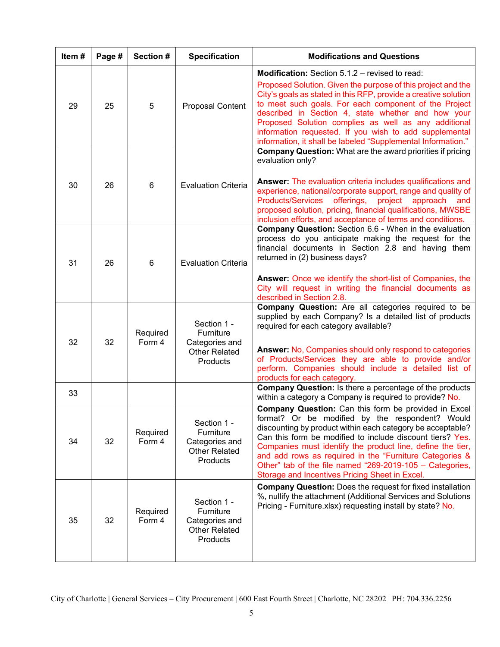| Item# | Page # | Section #          | <b>Specification</b>                                                           | <b>Modifications and Questions</b>                                                                                                                                                                                                                                                                                                                                                                                                                                                 |
|-------|--------|--------------------|--------------------------------------------------------------------------------|------------------------------------------------------------------------------------------------------------------------------------------------------------------------------------------------------------------------------------------------------------------------------------------------------------------------------------------------------------------------------------------------------------------------------------------------------------------------------------|
| 29    | 25     | 5                  | Proposal Content                                                               | Modification: Section 5.1.2 - revised to read:<br>Proposed Solution. Given the purpose of this project and the<br>City's goals as stated in this RFP, provide a creative solution<br>to meet such goals. For each component of the Project<br>described in Section 4, state whether and how your<br>Proposed Solution complies as well as any additional<br>information requested. If you wish to add supplemental<br>information, it shall be labeled "Supplemental Information." |
| 30    | 26     | 6                  | <b>Evaluation Criteria</b>                                                     | <b>Company Question:</b> What are the award priorities if pricing<br>evaluation only?<br>Answer: The evaluation criteria includes qualifications and<br>experience, national/corporate support, range and quality of<br><b>Products/Services</b><br>offerings,<br>project<br>approach and<br>proposed solution, pricing, financial qualifications, MWSBE<br>inclusion efforts, and acceptance of terms and conditions.                                                             |
| 31    | 26     | 6                  | <b>Evaluation Criteria</b>                                                     | <b>Company Question:</b> Section 6.6 - When in the evaluation<br>process do you anticipate making the request for the<br>financial documents in Section 2.8 and having them<br>returned in (2) business days?<br>Answer: Once we identify the short-list of Companies, the<br>City will request in writing the financial documents as<br>described in Section 2.8.                                                                                                                 |
| 32    | 32     | Required<br>Form 4 | Section 1 -<br>Furniture<br>Categories and<br><b>Other Related</b><br>Products | Company Question: Are all categories required to be<br>supplied by each Company? Is a detailed list of products<br>required for each category available?<br>Answer: No, Companies should only respond to categories<br>of Products/Services they are able to provide and/or<br>perform. Companies should include a detailed list of<br>products for each category.                                                                                                                 |
| 33    |        |                    |                                                                                | <b>Company Question:</b> Is there a percentage of the products<br>within a category a Company is required to provide? No.                                                                                                                                                                                                                                                                                                                                                          |
| 34    | 32     | Required<br>Form 4 | Section 1 -<br>Furniture<br>Categories and<br><b>Other Related</b><br>Products | Company Question: Can this form be provided in Excel<br>format? Or be modified by the respondent? Would<br>discounting by product within each category be acceptable?<br>Can this form be modified to include discount tiers? Yes.<br>Companies must identify the product line, define the tier,<br>and add rows as required in the "Furniture Categories &<br>Other" tab of the file named "269-2019-105 - Categories,<br>Storage and Incentives Pricing Sheet in Excel.          |
| 35    | 32     | Required<br>Form 4 | Section 1 -<br>Furniture<br>Categories and<br><b>Other Related</b><br>Products | <b>Company Question: Does the request for fixed installation</b><br>%, nullify the attachment (Additional Services and Solutions<br>Pricing - Furniture.xlsx) requesting install by state? No.                                                                                                                                                                                                                                                                                     |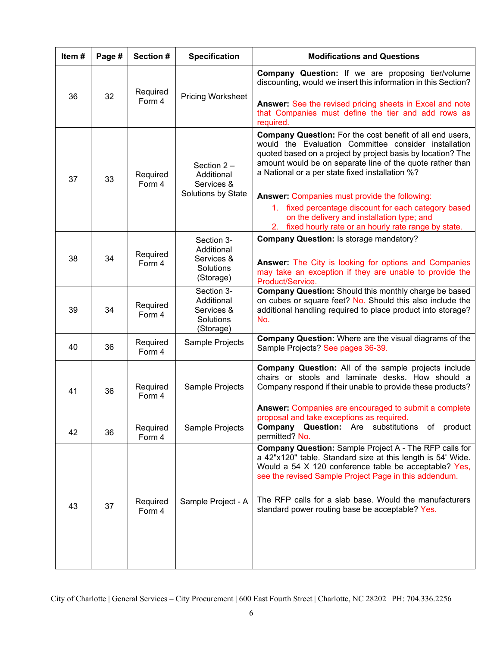| Item# | Page # | Section #          | <b>Specification</b>                                             | <b>Modifications and Questions</b>                                                                                                                                                                                                                                                                                                                   |  |  |  |  |
|-------|--------|--------------------|------------------------------------------------------------------|------------------------------------------------------------------------------------------------------------------------------------------------------------------------------------------------------------------------------------------------------------------------------------------------------------------------------------------------------|--|--|--|--|
|       |        | Required           |                                                                  | <b>Company Question:</b> If we are proposing tier/volume<br>discounting, would we insert this information in this Section?                                                                                                                                                                                                                           |  |  |  |  |
| 36    | 32     | Form 4             | <b>Pricing Worksheet</b>                                         | Answer: See the revised pricing sheets in Excel and note<br>that Companies must define the tier and add rows as<br>required.                                                                                                                                                                                                                         |  |  |  |  |
| 37    | 33     | Required<br>Form 4 | Section $2 -$<br>Additional<br>Services &<br>Solutions by State  | Company Question: For the cost benefit of all end users,<br>would the Evaluation Committee consider installation<br>quoted based on a project by project basis by location? The<br>amount would be on separate line of the quote rather than<br>a National or a per state fixed installation %?                                                      |  |  |  |  |
|       |        |                    |                                                                  | <b>Answer: Companies must provide the following:</b><br>1. fixed percentage discount for each category based<br>on the delivery and installation type; and<br>2. fixed hourly rate or an hourly rate range by state.                                                                                                                                 |  |  |  |  |
| 38    | 34     | Required<br>Form 4 | Section 3-<br>Additional<br>Services &<br>Solutions<br>(Storage) | <b>Company Question: Is storage mandatory?</b><br>Answer: The City is looking for options and Companies<br>may take an exception if they are unable to provide the<br>Product/Service.                                                                                                                                                               |  |  |  |  |
| 39    | 34     | Required<br>Form 4 | Section 3-<br>Additional<br>Services &<br>Solutions<br>(Storage) | Company Question: Should this monthly charge be based<br>on cubes or square feet? No. Should this also include the<br>additional handling required to place product into storage?<br>No.                                                                                                                                                             |  |  |  |  |
| 40    | 36     | Required<br>Form 4 | Sample Projects                                                  | <b>Company Question:</b> Where are the visual diagrams of the<br>Sample Projects? See pages 36-39.                                                                                                                                                                                                                                                   |  |  |  |  |
| 41    | 36     | Required<br>Form 4 | Sample Projects                                                  | Company Question: All of the sample projects include<br>chairs or stools and laminate desks. How should a<br>Company respond if their unable to provide these products?<br>Answer: Companies are encouraged to submit a complete<br>proposal and take exceptions as required.                                                                        |  |  |  |  |
| 42    | 36     | Required<br>Form 4 | Sample Projects                                                  | substitutions of<br>Company<br><b>Question: Are</b><br>product<br>permitted? No.                                                                                                                                                                                                                                                                     |  |  |  |  |
| 43    | 37     | Required<br>Form 4 | Sample Project - A                                               | Company Question: Sample Project A - The RFP calls for<br>a 42"x120" table. Standard size at this length is 54' Wide.<br>Would a 54 X 120 conference table be acceptable? Yes,<br>see the revised Sample Project Page in this addendum.<br>The RFP calls for a slab base. Would the manufacturers<br>standard power routing base be acceptable? Yes. |  |  |  |  |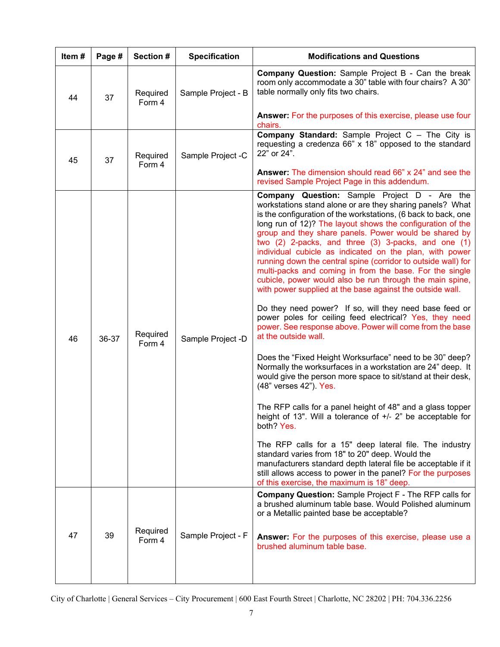| Item# | Page # | Section #          | <b>Specification</b> | <b>Modifications and Questions</b>                                                                                                                                                                                                                                                                                                                                                                                                                                                                                                                                                                                                                                                                                                                                                                                                                                                                                                                                                                                                                                                                                                                                                                                                                                                                                                                                                                                                                                                                                                             |  |  |  |  |  |  |  |
|-------|--------|--------------------|----------------------|------------------------------------------------------------------------------------------------------------------------------------------------------------------------------------------------------------------------------------------------------------------------------------------------------------------------------------------------------------------------------------------------------------------------------------------------------------------------------------------------------------------------------------------------------------------------------------------------------------------------------------------------------------------------------------------------------------------------------------------------------------------------------------------------------------------------------------------------------------------------------------------------------------------------------------------------------------------------------------------------------------------------------------------------------------------------------------------------------------------------------------------------------------------------------------------------------------------------------------------------------------------------------------------------------------------------------------------------------------------------------------------------------------------------------------------------------------------------------------------------------------------------------------------------|--|--|--|--|--|--|--|
| 44    | 37     | Required<br>Form 4 | Sample Project - B   | <b>Company Question:</b> Sample Project B - Can the break<br>room only accommodate a 30" table with four chairs? A 30"<br>table normally only fits two chairs.                                                                                                                                                                                                                                                                                                                                                                                                                                                                                                                                                                                                                                                                                                                                                                                                                                                                                                                                                                                                                                                                                                                                                                                                                                                                                                                                                                                 |  |  |  |  |  |  |  |
|       |        |                    |                      | Answer: For the purposes of this exercise, please use four<br>chairs.                                                                                                                                                                                                                                                                                                                                                                                                                                                                                                                                                                                                                                                                                                                                                                                                                                                                                                                                                                                                                                                                                                                                                                                                                                                                                                                                                                                                                                                                          |  |  |  |  |  |  |  |
| 45    | 37     | Required<br>Form 4 | Sample Project -C    | <b>Company Standard:</b> Sample Project C - The City is<br>requesting a credenza 66" x 18" opposed to the standard<br>22" or 24".                                                                                                                                                                                                                                                                                                                                                                                                                                                                                                                                                                                                                                                                                                                                                                                                                                                                                                                                                                                                                                                                                                                                                                                                                                                                                                                                                                                                              |  |  |  |  |  |  |  |
|       |        |                    |                      | Answer: The dimension should read 66" x 24" and see the<br>revised Sample Project Page in this addendum.                                                                                                                                                                                                                                                                                                                                                                                                                                                                                                                                                                                                                                                                                                                                                                                                                                                                                                                                                                                                                                                                                                                                                                                                                                                                                                                                                                                                                                       |  |  |  |  |  |  |  |
| 46    | 36-37  | Required<br>Form 4 | Sample Project -D    | Company Question: Sample Project D - Are the<br>workstations stand alone or are they sharing panels? What<br>is the configuration of the workstations, (6 back to back, one<br>long run of 12)? The layout shows the configuration of the<br>group and they share panels. Power would be shared by<br>two (2) 2-packs, and three (3) 3-packs, and one (1)<br>individual cubicle as indicated on the plan, with power<br>running down the central spine (corridor to outside wall) for<br>multi-packs and coming in from the base. For the single<br>cubicle, power would also be run through the main spine,<br>with power supplied at the base against the outside wall.<br>Do they need power? If so, will they need base feed or<br>power poles for ceiling feed electrical? Yes, they need<br>power. See response above. Power will come from the base<br>at the outside wall.<br>Does the "Fixed Height Worksurface" need to be 30" deep?<br>Normally the worksurfaces in a workstation are 24" deep. It<br>would give the person more space to sit/stand at their desk,<br>(48" verses 42"). Yes.<br>The RFP calls for a panel height of 48" and a glass topper<br>height of 13". Will a tolerance of +/- 2" be acceptable for<br>both? Yes.<br>The RFP calls for a 15" deep lateral file. The industry<br>standard varies from 18" to 20" deep. Would the<br>manufacturers standard depth lateral file be acceptable if it<br>still allows access to power in the panel? For the purposes<br>of this exercise, the maximum is 18" deep. |  |  |  |  |  |  |  |
| 47    | 39     | Required<br>Form 4 | Sample Project - F   | <b>Company Question:</b> Sample Project F - The RFP calls for<br>a brushed aluminum table base. Would Polished aluminum<br>or a Metallic painted base be acceptable?<br>Answer: For the purposes of this exercise, please use a<br>brushed aluminum table base.                                                                                                                                                                                                                                                                                                                                                                                                                                                                                                                                                                                                                                                                                                                                                                                                                                                                                                                                                                                                                                                                                                                                                                                                                                                                                |  |  |  |  |  |  |  |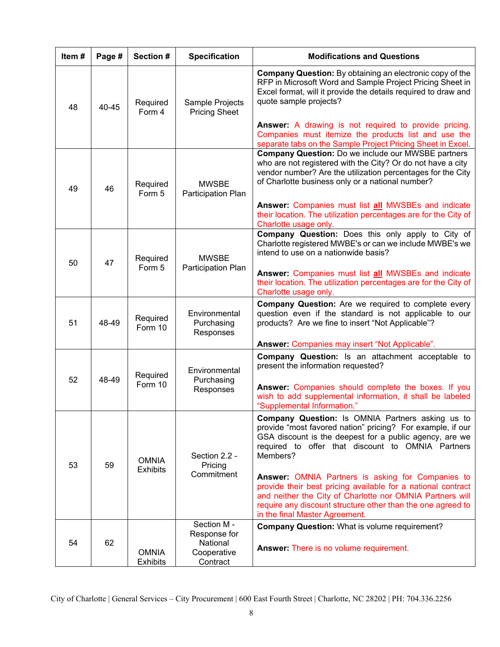| Item#    | Page # | Section #                       | <b>Specification</b>                     | <b>Modifications and Questions</b>                                                                                                                                                                                                                                              |
|----------|--------|---------------------------------|------------------------------------------|---------------------------------------------------------------------------------------------------------------------------------------------------------------------------------------------------------------------------------------------------------------------------------|
| 48       | 40-45  | Required<br>Form 4              | Sample Projects<br><b>Pricing Sheet</b>  | <b>Company Question:</b> By obtaining an electronic copy of the<br>RFP in Microsoft Word and Sample Project Pricing Sheet in<br>Excel format, will it provide the details required to draw and<br>quote sample projects?                                                        |
|          |        |                                 |                                          | Answer: A drawing is not required to provide pricing.<br>Companies must itemize the products list and use the<br>separate tabs on the Sample Project Pricing Sheet in Excel.                                                                                                    |
| 49<br>46 |        | Required<br>Form 5              | <b>MWSBE</b><br>Participation Plan       | <b>Company Question:</b> Do we include our MWSBE partners<br>who are not registered with the City? Or do not have a city<br>vendor number? Are the utilization percentages for the City<br>of Charlotte business only or a national number?                                     |
|          |        |                                 |                                          | Answer: Companies must list all MWSBEs and indicate<br>their location. The utilization percentages are for the City of<br>Charlotte usage only.                                                                                                                                 |
| 47<br>50 |        | Required<br>Form 5              | <b>MWSBE</b><br>Participation Plan       | Company Question: Does this only apply to City of<br>Charlotte registered MWBE's or can we include MWBE's we<br>intend to use on a nationwide basis?<br>Answer: Companies must list all MWSBEs and indicate                                                                     |
|          |        |                                 |                                          | their location. The utilization percentages are for the City of<br>Charlotte usage only.                                                                                                                                                                                        |
| 51       | 48-49  | Required<br>Form 10             | Environmental<br>Purchasing<br>Responses | Company Question: Are we required to complete every<br>question even if the standard is not applicable to our<br>products? Are we fine to insert "Not Applicable"?                                                                                                              |
|          |        |                                 |                                          | Answer: Companies may insert "Not Applicable".                                                                                                                                                                                                                                  |
| 52       | 48-49  | Required                        | Environmental<br>Purchasing              | Company Question: Is an attachment acceptable to<br>present the information requested?                                                                                                                                                                                          |
|          |        | Form 10                         | Responses                                | Answer: Companies should complete the boxes. If you<br>wish to add supplemental information, it shall be labeled<br>"Supplemental Information."                                                                                                                                 |
| 53       | 59     | <b>OMNIA</b><br><b>Exhibits</b> | Section 2.2 -<br>Pricing                 | <b>Company Question:</b> Is OMNIA Partners asking us to<br>provide "most favored nation" pricing? For example, if our<br>GSA discount is the deepest for a public agency, are we<br>required to offer that discount to OMNIA Partners<br>Members?                               |
|          |        |                                 | Commitment                               | Answer: OMNIA Partners is asking for Companies to<br>provide their best pricing available for a national contract<br>and neither the City of Charlotte nor OMNIA Partners will<br>require any discount structure other than the one agreed to<br>in the final Master Agreement. |
|          |        |                                 | Section M-<br>Response for               | <b>Company Question: What is volume requirement?</b>                                                                                                                                                                                                                            |
| 54       | 62     | <b>OMNIA</b><br><b>Exhibits</b> | National<br>Cooperative<br>Contract      | <b>Answer: There is no volume requirement.</b>                                                                                                                                                                                                                                  |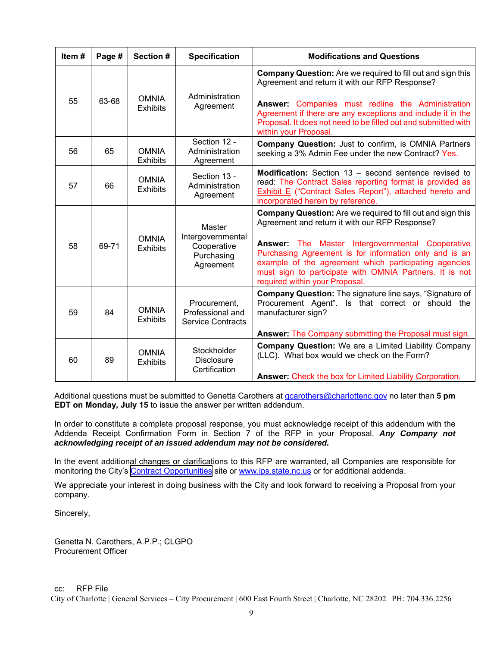| Item# | Page # | Section #                       | <b>Specification</b>                                                  | <b>Modifications and Questions</b>                                                                                                                                                                                                                                                                                                                                                       |  |  |  |  |  |  |  |  |  |
|-------|--------|---------------------------------|-----------------------------------------------------------------------|------------------------------------------------------------------------------------------------------------------------------------------------------------------------------------------------------------------------------------------------------------------------------------------------------------------------------------------------------------------------------------------|--|--|--|--|--|--|--|--|--|
|       |        |                                 | Administration                                                        | <b>Company Question:</b> Are we required to fill out and sign this<br>Agreement and return it with our RFP Response?                                                                                                                                                                                                                                                                     |  |  |  |  |  |  |  |  |  |
| 55    | 63-68  | <b>OMNIA</b><br><b>Exhibits</b> | Agreement                                                             | Answer: Companies must redline the Administration<br>Agreement if there are any exceptions and include it in the<br>Proposal. It does not need to be filled out and submitted with<br>within your Proposal.                                                                                                                                                                              |  |  |  |  |  |  |  |  |  |
| 56    | 65     | <b>OMNIA</b><br><b>Exhibits</b> | Section 12 -<br>Administration<br>Agreement                           | <b>Company Question:</b> Just to confirm, is OMNIA Partners<br>seeking a 3% Admin Fee under the new Contract? Yes.                                                                                                                                                                                                                                                                       |  |  |  |  |  |  |  |  |  |
| 57    | 66     | <b>OMNIA</b><br><b>Exhibits</b> | Section 13 -<br>Administration<br>Agreement                           | Modification: Section 13 - second sentence revised to<br>read: The Contract Sales reporting format is provided as<br><b>Exhibit E</b> ("Contract Sales Report"), attached hereto and<br>incorporated herein by reference.                                                                                                                                                                |  |  |  |  |  |  |  |  |  |
| 58    | 69-71  | <b>OMNIA</b><br><b>Exhibits</b> | Master<br>Intergovernmental<br>Cooperative<br>Purchasing<br>Agreement | <b>Company Question:</b> Are we required to fill out and sign this<br>Agreement and return it with our RFP Response?<br>Answer: The Master Intergovernmental Cooperative<br>Purchasing Agreement is for information only and is an<br>example of the agreement which participating agencies<br>must sign to participate with OMNIA Partners. It is not<br>required within your Proposal. |  |  |  |  |  |  |  |  |  |
| 59    | 84     | <b>OMNIA</b><br><b>Exhibits</b> | Procurement,<br>Professional and<br><b>Service Contracts</b>          | <b>Company Question:</b> The signature line says, "Signature of<br>Procurement Agent". Is that correct or should the<br>manufacturer sign?<br>Answer: The Company submitting the Proposal must sign.                                                                                                                                                                                     |  |  |  |  |  |  |  |  |  |
| 60    | 89     | <b>OMNIA</b><br><b>Exhibits</b> | Stockholder<br><b>Disclosure</b><br>Certification                     | <b>Company Question:</b> We are a Limited Liability Company<br>(LLC). What box would we check on the Form?<br>Answer: Check the box for Limited Liability Corporation.                                                                                                                                                                                                                   |  |  |  |  |  |  |  |  |  |

Additional questions must be submitted to Genetta Carothers at gcarothers@charlottenc.gov no later than **5 pm EDT on Monday, July 15** to issue the answer per written addendum.

In order to constitute a complete proposal response, you must acknowledge receipt of this addendum with the Addenda Receipt Confirmation Form in Section 7 of the RFP in your Proposal. *Any Company not acknowledging receipt of an issued addendum may not be considered.* 

In the event additional changes or clarifications to this RFP are warranted, all Companies are responsible for monitoring the City's [Contract Opportunities](https://charlottenc.gov/DoingBusiness/Pages/SolicitationDetails.aspx?ID=1081) site or www.ips.state.nc.us or for additional addenda.

We appreciate your interest in doing business with the City and look forward to receiving a Proposal from your company.

Sincerely,

Genetta N. Carothers, A.P.P.; CLGPO Procurement Officer

cc: RFP File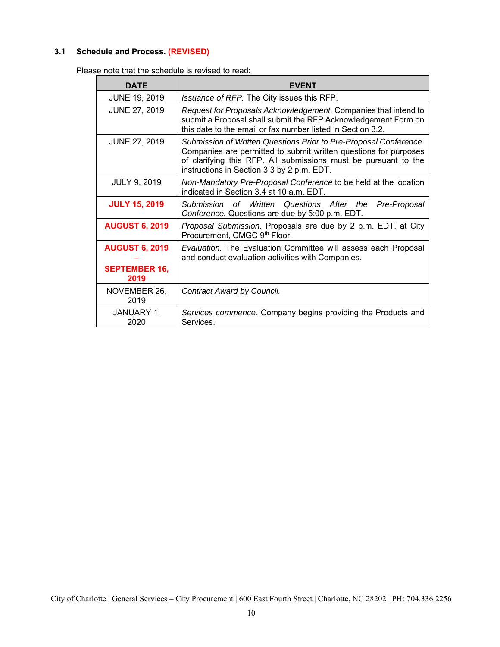## **3.1 Schedule and Process. (REVISED)**

Please note that the schedule is revised to read:

| <b>DATE</b>                  | EVENT                                                                                                                                                                                                                                                  |
|------------------------------|--------------------------------------------------------------------------------------------------------------------------------------------------------------------------------------------------------------------------------------------------------|
| <b>JUNE 19, 2019</b>         | <i>Issuance of RFP.</i> The City issues this RFP.                                                                                                                                                                                                      |
| <b>JUNE 27, 2019</b>         | Request for Proposals Acknowledgement. Companies that intend to<br>submit a Proposal shall submit the RFP Acknowledgement Form on<br>this date to the email or fax number listed in Section 3.2.                                                       |
| <b>JUNE 27, 2019</b>         | Submission of Written Questions Prior to Pre-Proposal Conference.<br>Companies are permitted to submit written questions for purposes<br>of clarifying this RFP. All submissions must be pursuant to the<br>instructions in Section 3.3 by 2 p.m. EDT. |
| <b>JULY 9, 2019</b>          | Non-Mandatory Pre-Proposal Conference to be held at the location<br>indicated in Section 3.4 at 10 a.m. EDT.                                                                                                                                           |
| <b>JULY 15, 2019</b>         | Submission of Written Questions After the<br>Pre-Proposal<br>Conference. Questions are due by 5:00 p.m. EDT.                                                                                                                                           |
| <b>AUGUST 6, 2019</b>        | Proposal Submission. Proposals are due by 2 p.m. EDT. at City<br>Procurement, CMGC 9th Floor.                                                                                                                                                          |
| <b>AUGUST 6, 2019</b>        | Evaluation. The Evaluation Committee will assess each Proposal<br>and conduct evaluation activities with Companies.                                                                                                                                    |
| <b>SEPTEMBER 16,</b><br>2019 |                                                                                                                                                                                                                                                        |
| NOVEMBER 26,<br>2019         | Contract Award by Council.                                                                                                                                                                                                                             |
| JANUARY 1,<br>2020           | Services commence. Company begins providing the Products and<br>Services.                                                                                                                                                                              |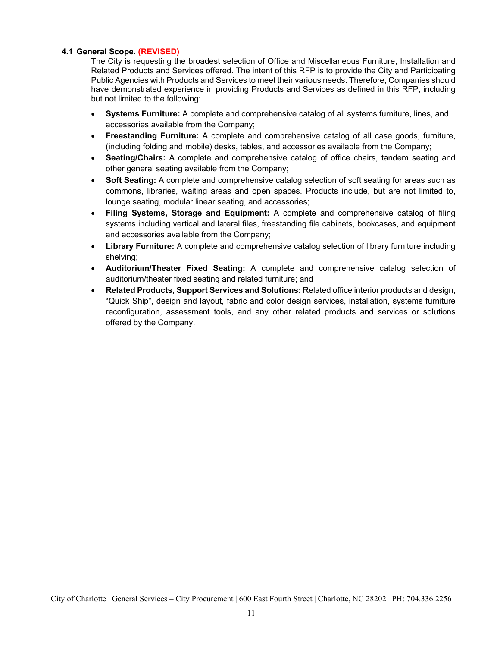#### **4.1 General Scope. (REVISED)**

The City is requesting the broadest selection of Office and Miscellaneous Furniture, Installation and Related Products and Services offered. The intent of this RFP is to provide the City and Participating Public Agencies with Products and Services to meet their various needs. Therefore, Companies should have demonstrated experience in providing Products and Services as defined in this RFP, including but not limited to the following:

- **Systems Furniture:** A complete and comprehensive catalog of all systems furniture, lines, and accessories available from the Company;
- **Freestanding Furniture:** A complete and comprehensive catalog of all case goods, furniture, (including folding and mobile) desks, tables, and accessories available from the Company;
- **Seating/Chairs:** A complete and comprehensive catalog of office chairs, tandem seating and other general seating available from the Company;
- **Soft Seating:** A complete and comprehensive catalog selection of soft seating for areas such as commons, libraries, waiting areas and open spaces. Products include, but are not limited to, lounge seating, modular linear seating, and accessories;
- **Filing Systems, Storage and Equipment:** A complete and comprehensive catalog of filing systems including vertical and lateral files, freestanding file cabinets, bookcases, and equipment and accessories available from the Company;
- **Library Furniture:** A complete and comprehensive catalog selection of library furniture including shelving;
- **Auditorium/Theater Fixed Seating:** A complete and comprehensive catalog selection of auditorium/theater fixed seating and related furniture; and
- **Related Products, Support Services and Solutions:** Related office interior products and design, "Quick Ship", design and layout, fabric and color design services, installation, systems furniture reconfiguration, assessment tools, and any other related products and services or solutions offered by the Company.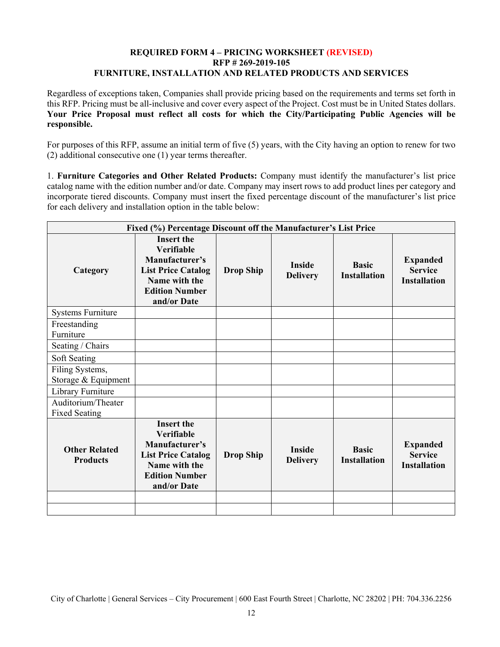### **REQUIRED FORM 4 – PRICING WORKSHEET (REVISED) RFP # 269-2019-105 FURNITURE, INSTALLATION AND RELATED PRODUCTS AND SERVICES**

Regardless of exceptions taken, Companies shall provide pricing based on the requirements and terms set forth in this RFP. Pricing must be all-inclusive and cover every aspect of the Project. Cost must be in United States dollars. **Your Price Proposal must reflect all costs for which the City/Participating Public Agencies will be responsible.** 

For purposes of this RFP, assume an initial term of five (5) years, with the City having an option to renew for two (2) additional consecutive one (1) year terms thereafter.

1. **Furniture Categories and Other Related Products:** Company must identify the manufacturer's list price catalog name with the edition number and/or date. Company may insert rows to add product lines per category and incorporate tiered discounts. Company must insert the fixed percentage discount of the manufacturer's list price for each delivery and installation option in the table below:

| Fixed (%) Percentage Discount off the Manufacturer's List Price |                                                                                                                                                |                  |                                  |                                     |                                                          |  |  |  |  |  |  |
|-----------------------------------------------------------------|------------------------------------------------------------------------------------------------------------------------------------------------|------------------|----------------------------------|-------------------------------------|----------------------------------------------------------|--|--|--|--|--|--|
| Category                                                        | <b>Insert the</b><br><b>Verifiable</b><br>Manufacturer's<br><b>List Price Catalog</b><br>Name with the<br><b>Edition Number</b><br>and/or Date | <b>Drop Ship</b> | <b>Inside</b><br><b>Delivery</b> | <b>Basic</b><br><b>Installation</b> | <b>Expanded</b><br><b>Service</b><br><b>Installation</b> |  |  |  |  |  |  |
| <b>Systems Furniture</b>                                        |                                                                                                                                                |                  |                                  |                                     |                                                          |  |  |  |  |  |  |
| Freestanding<br>Furniture                                       |                                                                                                                                                |                  |                                  |                                     |                                                          |  |  |  |  |  |  |
| Seating / Chairs                                                |                                                                                                                                                |                  |                                  |                                     |                                                          |  |  |  |  |  |  |
| Soft Seating                                                    |                                                                                                                                                |                  |                                  |                                     |                                                          |  |  |  |  |  |  |
| Filing Systems,<br>Storage & Equipment                          |                                                                                                                                                |                  |                                  |                                     |                                                          |  |  |  |  |  |  |
| Library Furniture                                               |                                                                                                                                                |                  |                                  |                                     |                                                          |  |  |  |  |  |  |
| Auditorium/Theater<br><b>Fixed Seating</b>                      |                                                                                                                                                |                  |                                  |                                     |                                                          |  |  |  |  |  |  |
| <b>Other Related</b><br><b>Products</b>                         | <b>Insert the</b><br>Verifiable<br>Manufacturer's<br><b>List Price Catalog</b><br>Name with the<br><b>Edition Number</b><br>and/or Date        | <b>Drop Ship</b> | <b>Inside</b><br><b>Delivery</b> | <b>Basic</b><br><b>Installation</b> | <b>Expanded</b><br><b>Service</b><br><b>Installation</b> |  |  |  |  |  |  |
|                                                                 |                                                                                                                                                |                  |                                  |                                     |                                                          |  |  |  |  |  |  |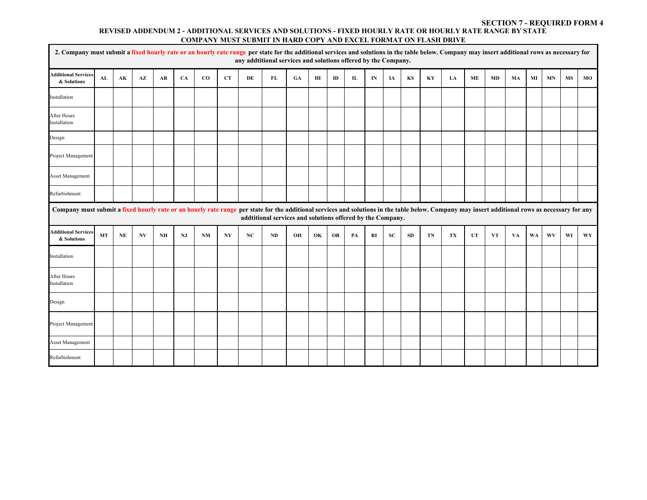#### **REVISED ADDENDUM 2 - ADDITIONAL SERVICES AND SOLUTIONS - FIXED HOURLY RATE OR HOURLY RATE RANGE BY STATE COMPANY MUST SUBMIT IN HARD COPY AND EXCEL FORMAT ON FLASH DRIVE SECTION 7 - REQUIRED FORM 4**

|                                                                                                                                                                                                 | 2. Company must submit a fixed hourly rate or an hourly rate range per state for the additional services and solutions in the table below. Company may insert additional rows as necessary for<br>any addtitional services and solutions offered by the Company. |               |                        |            |    |             |    |               |                                                            |    |                        |           |                  |               |           |           |                        |    |               |     |    |           |    |           |           |
|-------------------------------------------------------------------------------------------------------------------------------------------------------------------------------------------------|------------------------------------------------------------------------------------------------------------------------------------------------------------------------------------------------------------------------------------------------------------------|---------------|------------------------|------------|----|-------------|----|---------------|------------------------------------------------------------|----|------------------------|-----------|------------------|---------------|-----------|-----------|------------------------|----|---------------|-----|----|-----------|----|-----------|-----------|
| <b>Additional Services</b><br>& Solutions                                                                                                                                                       | AL                                                                                                                                                                                                                                                               | $\mathbf{AK}$ | $\mathbf{A}\mathbf{Z}$ | ${\bf AR}$ | CA | $_{\rm CO}$ | CT | $\mathbf{DE}$ | FL                                                         | GA | $\mathbf{H}\mathbf{I}$ | ID        | ${\bf I}{\bf L}$ | $\mathbf{IN}$ | IA        | KS        | $\mathbf{K}\mathbf{Y}$ | LA | $\mathbf{ME}$ | MD  | MA | MI        | MN | <b>MS</b> | MO        |
| Installation                                                                                                                                                                                    |                                                                                                                                                                                                                                                                  |               |                        |            |    |             |    |               |                                                            |    |                        |           |                  |               |           |           |                        |    |               |     |    |           |    |           |           |
| After Hours<br>Installation                                                                                                                                                                     |                                                                                                                                                                                                                                                                  |               |                        |            |    |             |    |               |                                                            |    |                        |           |                  |               |           |           |                        |    |               |     |    |           |    |           |           |
| Design                                                                                                                                                                                          |                                                                                                                                                                                                                                                                  |               |                        |            |    |             |    |               |                                                            |    |                        |           |                  |               |           |           |                        |    |               |     |    |           |    |           |           |
| Project Management                                                                                                                                                                              |                                                                                                                                                                                                                                                                  |               |                        |            |    |             |    |               |                                                            |    |                        |           |                  |               |           |           |                        |    |               |     |    |           |    |           |           |
| <b>Asset Management</b>                                                                                                                                                                         |                                                                                                                                                                                                                                                                  |               |                        |            |    |             |    |               |                                                            |    |                        |           |                  |               |           |           |                        |    |               |     |    |           |    |           |           |
| Refurbishment                                                                                                                                                                                   |                                                                                                                                                                                                                                                                  |               |                        |            |    |             |    |               |                                                            |    |                        |           |                  |               |           |           |                        |    |               |     |    |           |    |           |           |
| Company must submit a fixed hourly rate or an hourly rate range per state for the additional services and solutions in the table below. Company may insert additional rows as necessary for any |                                                                                                                                                                                                                                                                  |               |                        |            |    |             |    |               | addtitional services and solutions offered by the Company. |    |                        |           |                  |               |           |           |                        |    |               |     |    |           |    |           |           |
| <b>Additional Services</b><br>& Solutions                                                                                                                                                       | <b>MT</b>                                                                                                                                                                                                                                                        | NE            | <b>NV</b>              | NH         | NJ | <b>NM</b>   | NY | NC            | ND                                                         | OH | OK                     | <b>OR</b> | PA               | RI            | <b>SC</b> | <b>SD</b> | TN                     | TX | UT            | VT. | VA | <b>WA</b> | WV | WI        | <b>WY</b> |
| Installation                                                                                                                                                                                    |                                                                                                                                                                                                                                                                  |               |                        |            |    |             |    |               |                                                            |    |                        |           |                  |               |           |           |                        |    |               |     |    |           |    |           |           |
| After Hours<br>Installation                                                                                                                                                                     |                                                                                                                                                                                                                                                                  |               |                        |            |    |             |    |               |                                                            |    |                        |           |                  |               |           |           |                        |    |               |     |    |           |    |           |           |
| Design                                                                                                                                                                                          |                                                                                                                                                                                                                                                                  |               |                        |            |    |             |    |               |                                                            |    |                        |           |                  |               |           |           |                        |    |               |     |    |           |    |           |           |
| Project Management                                                                                                                                                                              |                                                                                                                                                                                                                                                                  |               |                        |            |    |             |    |               |                                                            |    |                        |           |                  |               |           |           |                        |    |               |     |    |           |    |           |           |
| <b>Asset Management</b>                                                                                                                                                                         |                                                                                                                                                                                                                                                                  |               |                        |            |    |             |    |               |                                                            |    |                        |           |                  |               |           |           |                        |    |               |     |    |           |    |           |           |
| Refurbishment                                                                                                                                                                                   |                                                                                                                                                                                                                                                                  |               |                        |            |    |             |    |               |                                                            |    |                        |           |                  |               |           |           |                        |    |               |     |    |           |    |           |           |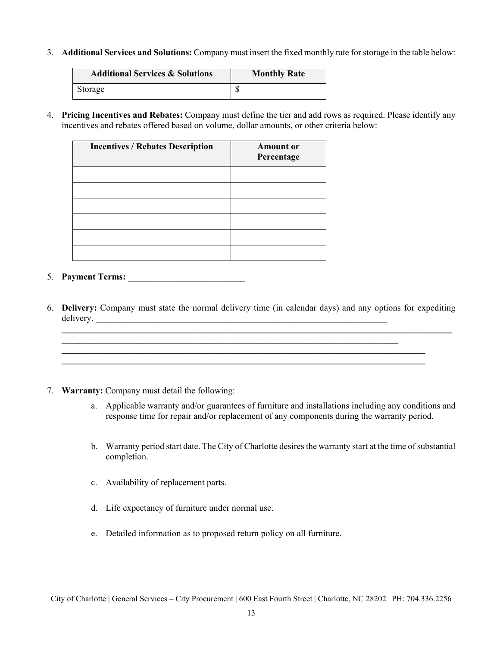3. **Additional Services and Solutions:** Company must insert the fixed monthly rate for storage in the table below:

| <b>Additional Services &amp; Solutions</b> | <b>Monthly Rate</b> |  |  |
|--------------------------------------------|---------------------|--|--|
| Storage                                    |                     |  |  |

4. **Pricing Incentives and Rebates:** Company must define the tier and add rows as required. Please identify any incentives and rebates offered based on volume, dollar amounts, or other criteria below:

| <b>Incentives / Rebates Description</b> | <b>Amount or</b><br>Percentage |
|-----------------------------------------|--------------------------------|
|                                         |                                |
|                                         |                                |
|                                         |                                |
|                                         |                                |
|                                         |                                |
|                                         |                                |

- 5. **Payment Terms:** \_\_\_\_\_\_\_\_\_\_\_\_\_\_\_\_\_\_\_\_\_\_\_\_\_\_
- 6. **Delivery:** Company must state the normal delivery time (in calendar days) and any options for expediting delivery.

**\_\_\_\_\_\_\_\_\_\_\_\_\_\_\_\_\_\_\_\_\_\_\_\_\_\_\_\_\_\_\_\_\_\_\_\_\_\_\_\_\_\_\_\_\_\_\_\_\_\_\_\_\_\_\_\_\_\_\_\_\_\_\_\_\_\_\_\_\_\_\_\_\_\_\_\_\_\_\_\_\_** 

**\_\_\_\_\_\_\_\_\_\_\_\_\_\_\_\_\_\_\_\_\_\_\_\_\_\_\_\_\_\_\_\_\_\_\_\_\_\_\_\_\_\_\_\_\_\_\_\_\_\_\_\_\_\_\_\_\_\_\_\_\_\_\_\_\_\_\_\_\_\_\_\_\_\_\_\_\_\_\_\_\_\_\_\_\_\_\_**

- 7. **Warranty:** Company must detail the following:
	- a. Applicable warranty and/or guarantees of furniture and installations including any conditions and response time for repair and/or replacement of any components during the warranty period.
	- b. Warranty period start date. The City of Charlotte desires the warranty start at the time of substantial completion.
	- c. Availability of replacement parts.
	- d. Life expectancy of furniture under normal use.
	- e. Detailed information as to proposed return policy on all furniture.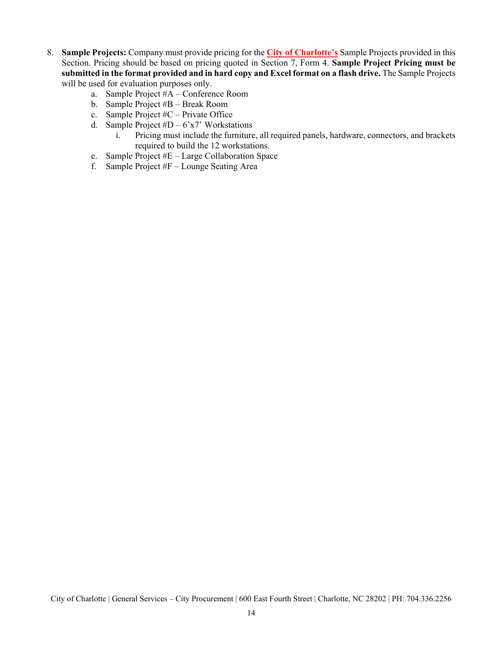- 8. **Sample Projects:** Company must provide pricing for the **City of Charlotte's** Sample Projects provided in this Section. Pricing should be based on pricing quoted in Section 7, Form 4. **Sample Project Pricing must be submitted in the format provided and in hard copy and Excel format on a flash drive.** The Sample Projects will be used for evaluation purposes only.
	- a. Sample Project #A Conference Room
	- b. Sample Project #B Break Room
	- c. Sample Project #C Private Office
	- d. Sample Project  $#D 6x7$ ' Workstations
		- i. Pricing must include the furniture, all required panels, hardware, connectors, and brackets required to build the 12 workstations.
	- e. Sample Project #E Large Collaboration Space
	- f. Sample Project #F Lounge Seating Area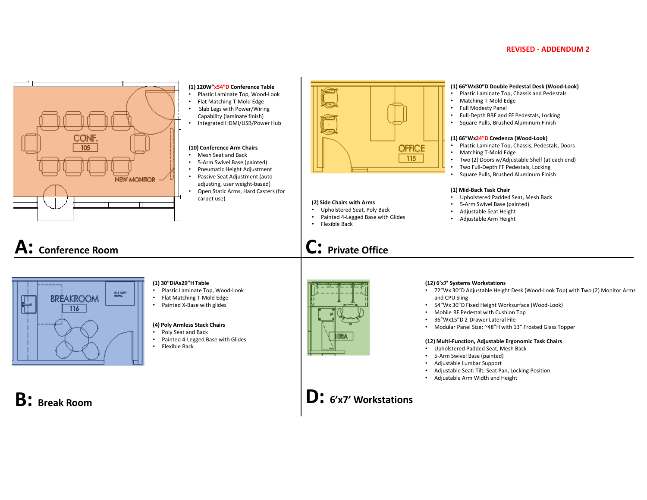#### **REVISED - ADDENDUM 2**



#### **(1) 120W"x54"D Conference Table** Plastic Laminate Top, Wood‐Look

- Flat Matching T‐Mold Edge
- Slab Legs with Power/Wiring Capability (laminate finish)
- Integrated HDMI/USB/Power Hub

#### **(10) Conference Arm Chairs**

- Mesh Seat and Back
- 5‐Arm Swivel Base (painted)
- Pneumatic Height Adjustment
- Passive Seat Adjustment (auto‐ adjusting, user weight‐based)
- Open Static Arms, Hard Casters (for carpet use)



# **A: Conference Room**



#### **(1) 30"DIAx29"H Table**

- Plastic Laminate Top, Wood‐Look
- Flat Matching T‐Mold Edge
- Painted X‐Base with glides

#### **(4) Poly Armless Stack Chairs**

- Poly Seat and Back
- Painted 4‐Legged Base with Glides •
- Flexible Back



**(2) Side Chairs with Arms** Upholstered Seat, Poly Back

**C: Private Office**

• Flexible Back

Painted 4‐Legged Base with Glides

**OFFICE**  $115$ 

•



- 72"Wx 30"D Adjustable Height Desk (Wood‐Look Top) with Two (2) Monitor Arms and CPU Sling
- •54"Wx 30"D Fixed Height Worksurface (Wood‐Look)
- •Mobile BF Pedestal with Cushion Top
- •36"Wx15"D 2‐Drawer Lateral File
- •Modular Panel Size: ~48"H with 13" Frosted Glass Topper

#### **(12) Multi‐Function, Adjustable Ergonomic Task Chairs**

- Upholstered Padded Seat, Mesh Back
- •5‐Arm Swivel Base (painted)
- •Adjustable Lumbar Support
- •Adjustable Seat: Tilt, Seat Pan, Locking Position
- Adjustable Arm Width and Height



**D: 6'x7' Workstations**

#### **(1) 66"Wx30"D Double Pedestal Desk (Wood‐Look)**

- Plastic Laminate Top, Chassis and Pedestals
- •Matching T‐Mold Edge
- Full Modesty Panel
- Full‐Depth BBF and FF Pedestals, Locking
- Square Pulls, Brushed Aluminum Finish

#### **(1) 66"Wx24"D Credenza (Wood‐Look)**

- Plastic Laminate Top, Chassis, Pedestals, Doors
- Matching T‐Mold Edge
- •Two (2) Doors w/Adjustable Shelf (at each end)
- •Two Full‐Depth FF Pedestals, Locking
- •Square Pulls, Brushed Aluminum Finish

#### **(1) Mid‐Back Task Chair**

- Upholstered Padded Seat, Mesh Back
- 5‐Arm Swivel Base (painted)
- Adjustable Seat Height
- Adjustable Arm Height

- 
- 
- -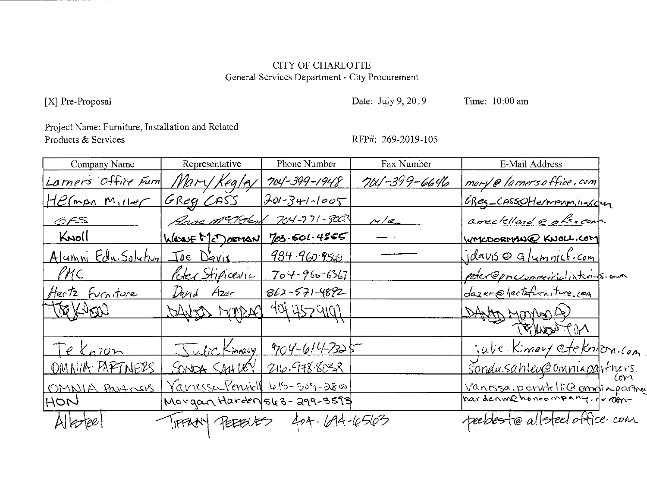# **CITY OF CHARLOTTE** General Services Department - City Procurement

[X] Pre-Proposal

Date: July 9, 2019

Time: 10:00 am

Project Name: Furniture, Installation and Related Products & Services

RFP#: 269-2019-105

| Company Name                  | Representative                       | Phone Number        | Fax Number   | E-Mail Address                     |  |
|-------------------------------|--------------------------------------|---------------------|--------------|------------------------------------|--|
| Larner's Office Furn          | Mary Kegley                          | $704 - 399 - 1948$  | 704-399-6646 | <u>mary @ larners office, com</u>  |  |
| $Hermon$ $Milef$              | GREG CASS                            | $301 - 341 - 1005$  |              | <u>ERES-CASSOHErmAnnierc</u> ur    |  |
| <u>OFS</u>                    | <u>Anne McClevend</u>                | 704-771-9003        | M/e          | amedellande ofs. com               |  |
| KNOLL                         | Warve McDocran                       | 703.501.4855        |              | WATCDORMANQ KNOLL.COM              |  |
| Alumni Edu Solution Joe Davis |                                      | <u>984.960.9508</u> |              | <u>Idavis @ a/umnicf.com</u>       |  |
| PMC                           | Roter Stipicevic                     | $704 - 960 - 6367$  |              | poter @prccommercialinterision     |  |
| Hestz Furniture               | David Azer                           | $862 - 571 - 4892$  |              | dazer@hertzfurniture.com           |  |
| <b>REVEROR</b>                | DAVAS MORACI                         | 4044529101          |              | DANTA Montan (2)                   |  |
|                               |                                      |                     |              | <b>NOT WOULD,</b>                  |  |
| <u>Te Knign</u>               | Sulic Kinnary                        | 9704-614-7325       |              | julie Kinney etcknon.com           |  |
| OMNIA PAPTNERS                | SONDA SAHUEY                         | 216.978.8038        |              | <u>Sondasahlex@omniapa</u> ntners. |  |
| OMNIA Partners                | <u> Vanessa Pentill 615-509-2800</u> |                     |              | Vanessa, point li Commi a partire  |  |
| $M$ ON                        | Morgan Harden 563-299-3593           |                     |              |                                    |  |
|                               | IFFANY PEEBUES                       | 404-694-6563        |              | peebleste allsteel office. com     |  |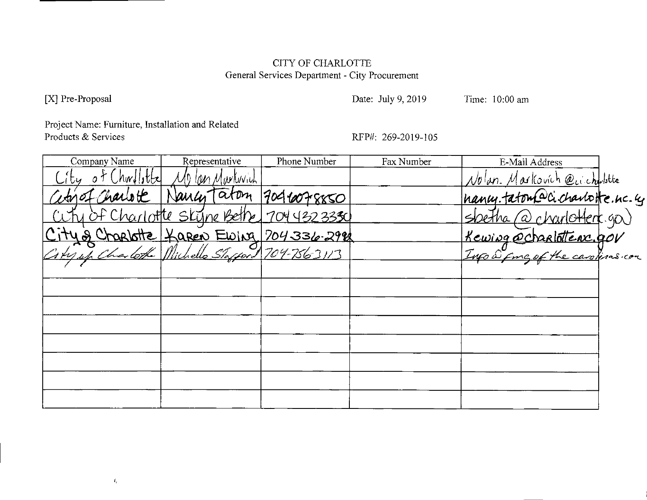# CITY OF CHARLOTTE General Services Department - City Procurement

[X] Pre-Proposal

Date: July 9, 2019

Time: 10:00 am

Project Name: Furniture, Installation and Related Products & Services

RFP#: 269-2019-105

| Company Name | Representative                       | Phone Number | Fax Number | E-Mail Address                                                                     |  |
|--------------|--------------------------------------|--------------|------------|------------------------------------------------------------------------------------|--|
|              | lan Marluvich                        |              |            | Nolan. Markovich @ccchalistte                                                      |  |
| Charlott     | aton                                 | 7046078850   |            | nancy.tatom@cichantotte.ne.eg<br>Soetha @charlottere.gov<br>Kewing@charlottere.gov |  |
|              | <u>Of Charlotte Skyne Bethe</u>      | 70443233350  |            |                                                                                    |  |
|              |                                      |              |            |                                                                                    |  |
|              | 4 & Charlotte Haren Ewing 704336.292 |              |            |                                                                                    |  |
|              |                                      |              |            |                                                                                    |  |
|              |                                      |              |            |                                                                                    |  |
|              |                                      |              |            |                                                                                    |  |
|              |                                      |              |            |                                                                                    |  |
|              |                                      |              |            |                                                                                    |  |
|              |                                      |              |            |                                                                                    |  |
|              |                                      |              |            |                                                                                    |  |
|              |                                      |              |            |                                                                                    |  |
|              |                                      |              |            |                                                                                    |  |